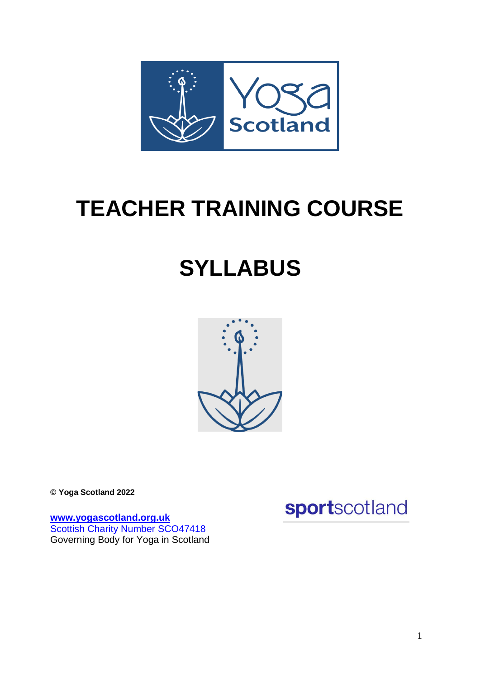

# **TEACHER TRAINING COURSE**

# **SYLLABUS**



**© Yoga Scotland 2022**

**[www.yogascotland.org.uk](http://www.yogascotland.org.uk/)** Scottish Charity Number SCO47418 Governing Body for Yoga in Scotland sportscotland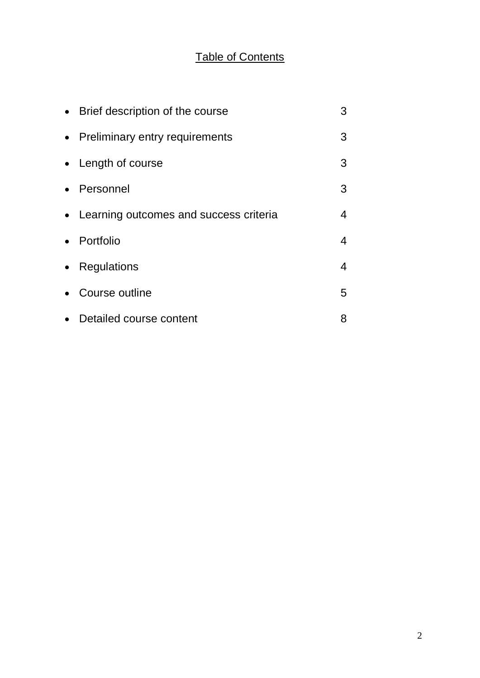# Table of Contents

|           | • Brief description of the course        | 3 |
|-----------|------------------------------------------|---|
| $\bullet$ | <b>Preliminary entry requirements</b>    | 3 |
|           | • Length of course                       | 3 |
| $\bullet$ | Personnel                                | 3 |
|           | • Learning outcomes and success criteria | 4 |
| $\bullet$ | Portfolio                                | 4 |
| $\bullet$ | Regulations                              | 4 |
|           | Course outline                           | 5 |
|           | Detailed course content                  | 8 |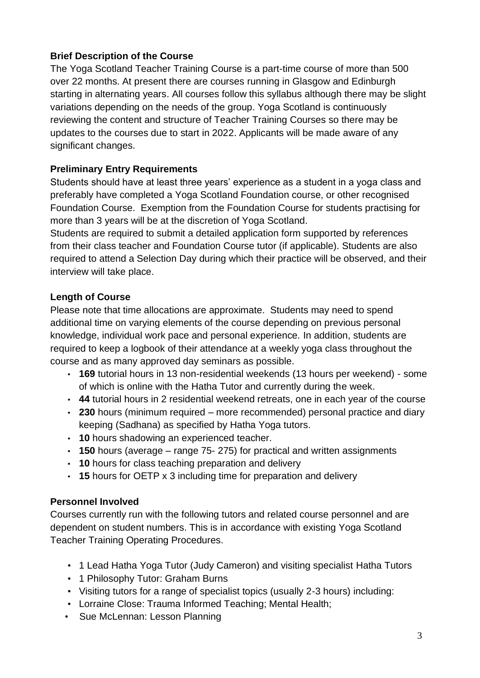## **Brief Description of the Course**

The Yoga Scotland Teacher Training Course is a part-time course of more than 500 over 22 months. At present there are courses running in Glasgow and Edinburgh starting in alternating years. All courses follow this syllabus although there may be slight variations depending on the needs of the group. Yoga Scotland is continuously reviewing the content and structure of Teacher Training Courses so there may be updates to the courses due to start in 2022. Applicants will be made aware of any significant changes.

# **Preliminary Entry Requirements**

Students should have at least three years' experience as a student in a yoga class and preferably have completed a Yoga Scotland Foundation course, or other recognised Foundation Course. Exemption from the Foundation Course for students practising for more than 3 years will be at the discretion of Yoga Scotland.

Students are required to submit a detailed application form supported by references from their class teacher and Foundation Course tutor (if applicable). Students are also required to attend a Selection Day during which their practice will be observed, and their interview will take place.

## **Length of Course**

Please note that time allocations are approximate. Students may need to spend additional time on varying elements of the course depending on previous personal knowledge, individual work pace and personal experience*.* In addition, students are required to keep a logbook of their attendance at a weekly yoga class throughout the course and as many approved day seminars as possible.

- **169** tutorial hours in 13 non-residential weekends (13 hours per weekend) some of which is online with the Hatha Tutor and currently during the week.
- **44** tutorial hours in 2 residential weekend retreats, one in each year of the course
- **230** hours (minimum required more recommended) personal practice and diary keeping (Sadhana) as specified by Hatha Yoga tutors.
- **10** hours shadowing an experienced teacher.
- **150** hours (average range 75- 275) for practical and written assignments
- **10** hours for class teaching preparation and delivery
- **15** hours for OETP x 3 including time for preparation and delivery

# **Personnel Involved**

Courses currently run with the following tutors and related course personnel and are dependent on student numbers. This is in accordance with existing Yoga Scotland Teacher Training Operating Procedures.

- 1 Lead Hatha Yoga Tutor (Judy Cameron) and visiting specialist Hatha Tutors
- 1 Philosophy Tutor: Graham Burns
- Visiting tutors for a range of specialist topics (usually 2-3 hours) including:
- Lorraine Close: Trauma Informed Teaching; Mental Health;
- Sue McLennan: Lesson Planning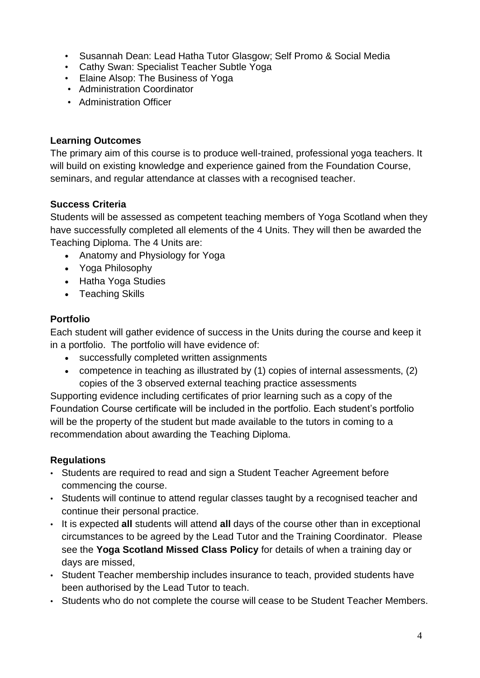- Susannah Dean: Lead Hatha Tutor Glasgow; Self Promo & Social Media
- Cathy Swan: Specialist Teacher Subtle Yoga
- Elaine Alsop: The Business of Yoga
- Administration Coordinator
- Administration Officer

## **Learning Outcomes**

The primary aim of this course is to produce well-trained, professional yoga teachers. It will build on existing knowledge and experience gained from the Foundation Course, seminars, and regular attendance at classes with a recognised teacher.

## **Success Criteria**

Students will be assessed as competent teaching members of Yoga Scotland when they have successfully completed all elements of the 4 Units. They will then be awarded the Teaching Diploma. The 4 Units are:

- Anatomy and Physiology for Yoga
- Yoga Philosophy
- Hatha Yoga Studies
- Teaching Skills

# **Portfolio**

Each student will gather evidence of success in the Units during the course and keep it in a portfolio. The portfolio will have evidence of:

- successfully completed written assignments
- competence in teaching as illustrated by (1) copies of internal assessments, (2) copies of the 3 observed external teaching practice assessments

Supporting evidence including certificates of prior learning such as a copy of the Foundation Course certificate will be included in the portfolio. Each student's portfolio will be the property of the student but made available to the tutors in coming to a recommendation about awarding the Teaching Diploma.

# **Regulations**

- Students are required to read and sign a Student Teacher Agreement before commencing the course.
- Students will continue to attend regular classes taught by a recognised teacher and continue their personal practice.
- It is expected **all** students will attend **all** days of the course other than in exceptional circumstances to be agreed by the Lead Tutor and the Training Coordinator. Please see the **Yoga Scotland Missed Class Policy** for details of when a training day or days are missed,
- Student Teacher membership includes insurance to teach, provided students have been authorised by the Lead Tutor to teach.
- Students who do not complete the course will cease to be Student Teacher Members.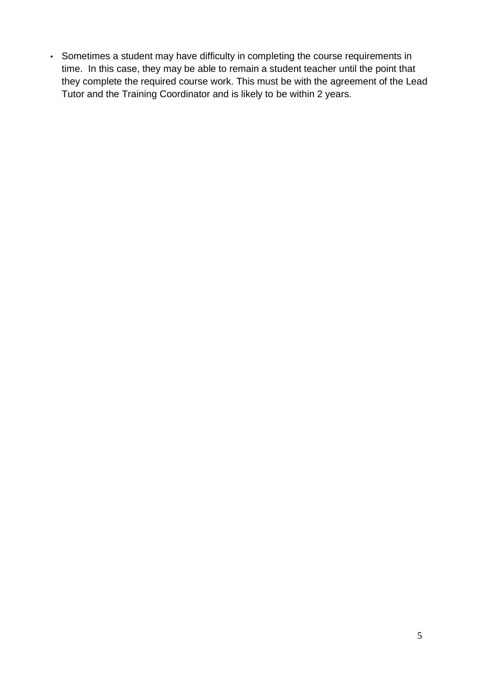• Sometimes a student may have difficulty in completing the course requirements in time. In this case, they may be able to remain a student teacher until the point that they complete the required course work. This must be with the agreement of the Lead Tutor and the Training Coordinator and is likely to be within 2 years.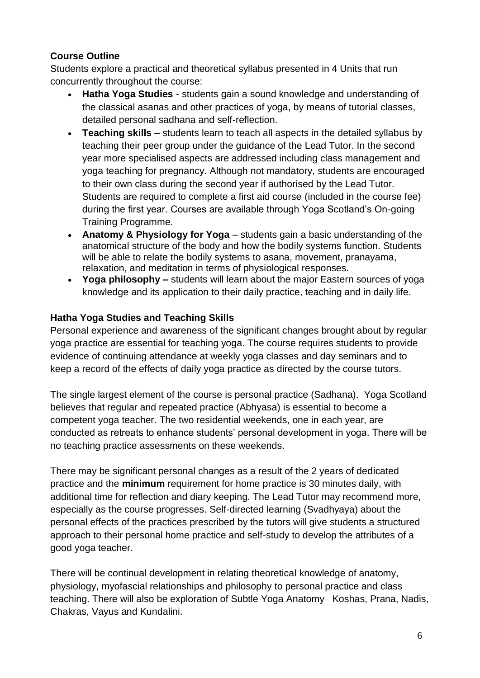# **Course Outline**

Students explore a practical and theoretical syllabus presented in 4 Units that run concurrently throughout the course:

- **Hatha Yoga Studies** students gain a sound knowledge and understanding of the classical asanas and other practices of yoga, by means of tutorial classes, detailed personal sadhana and self-reflection.
- **Teaching skills** students learn to teach all aspects in the detailed syllabus by teaching their peer group under the guidance of the Lead Tutor. In the second year more specialised aspects are addressed including class management and yoga teaching for pregnancy. Although not mandatory, students are encouraged to their own class during the second year if authorised by the Lead Tutor. Students are required to complete a first aid course (included in the course fee) during the first year. Courses are available through Yoga Scotland's On-going Training Programme.
- **Anatomy & Physiology for Yoga** students gain a basic understanding of the anatomical structure of the body and how the bodily systems function. Students will be able to relate the bodily systems to asana, movement, pranayama, relaxation, and meditation in terms of physiological responses.
- **Yoga philosophy –** students will learn about the major Eastern sources of yoga knowledge and its application to their daily practice, teaching and in daily life.

## **Hatha Yoga Studies and Teaching Skills**

Personal experience and awareness of the significant changes brought about by regular yoga practice are essential for teaching yoga. The course requires students to provide evidence of continuing attendance at weekly yoga classes and day seminars and to keep a record of the effects of daily yoga practice as directed by the course tutors.

The single largest element of the course is personal practice (Sadhana). Yoga Scotland believes that regular and repeated practice (Abhyasa) is essential to become a competent yoga teacher. The two residential weekends, one in each year, are conducted as retreats to enhance students' personal development in yoga. There will be no teaching practice assessments on these weekends.

There may be significant personal changes as a result of the 2 years of dedicated practice and the **minimum** requirement for home practice is 30 minutes daily, with additional time for reflection and diary keeping. The Lead Tutor may recommend more, especially as the course progresses. Self-directed learning (Svadhyaya) about the personal effects of the practices prescribed by the tutors will give students a structured approach to their personal home practice and self-study to develop the attributes of a good yoga teacher.

There will be continual development in relating theoretical knowledge of anatomy, physiology, myofascial relationships and philosophy to personal practice and class teaching. There will also be exploration of Subtle Yoga Anatomy Koshas, Prana, Nadis, Chakras, Vayus and Kundalini.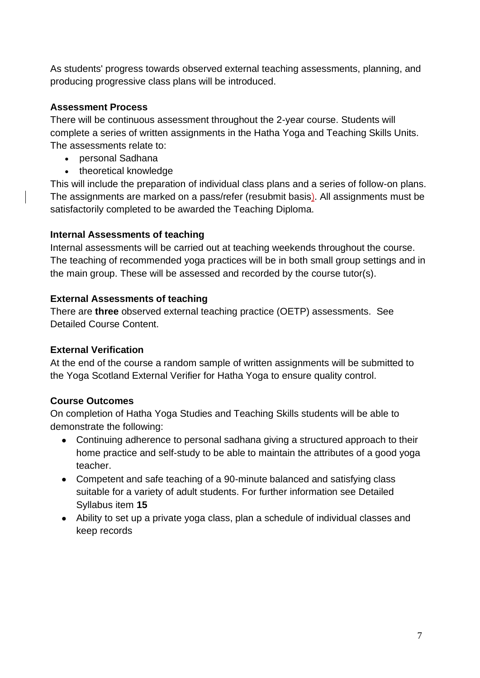As students' progress towards observed external teaching assessments, planning, and producing progressive class plans will be introduced.

## **Assessment Process**

There will be continuous assessment throughout the 2-year course. Students will complete a series of written assignments in the Hatha Yoga and Teaching Skills Units. The assessments relate to:

- personal Sadhana
- theoretical knowledge

This will include the preparation of individual class plans and a series of follow-on plans. The assignments are marked on a pass/refer (resubmit basis). All assignments must be satisfactorily completed to be awarded the Teaching Diploma.

## **Internal Assessments of teaching**

Internal assessments will be carried out at teaching weekends throughout the course. The teaching of recommended yoga practices will be in both small group settings and in the main group. These will be assessed and recorded by the course tutor(s).

## **External Assessments of teaching**

There are **three** observed external teaching practice (OETP) assessments. See Detailed Course Content.

## **External Verification**

At the end of the course a random sample of written assignments will be submitted to the Yoga Scotland External Verifier for Hatha Yoga to ensure quality control.

# **Course Outcomes**

On completion of Hatha Yoga Studies and Teaching Skills students will be able to demonstrate the following:

- Continuing adherence to personal sadhana giving a structured approach to their home practice and self-study to be able to maintain the attributes of a good yoga teacher.
- Competent and safe teaching of a 90-minute balanced and satisfying class suitable for a variety of adult students. For further information see Detailed Syllabus item **15**
- Ability to set up a private yoga class, plan a schedule of individual classes and keep records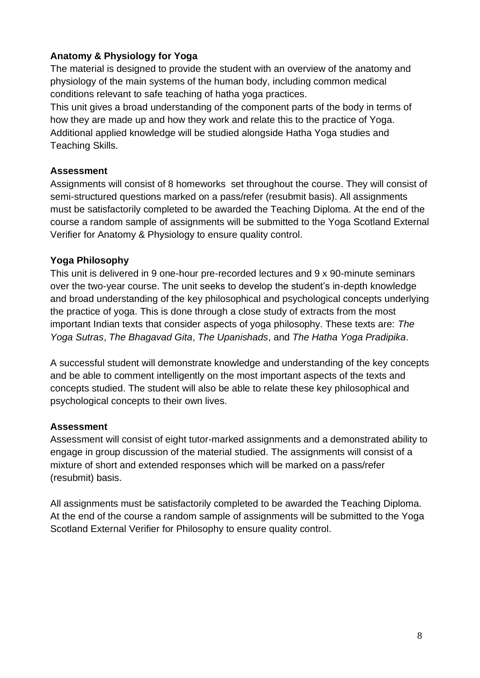# **Anatomy & Physiology for Yoga**

The material is designed to provide the student with an overview of the anatomy and physiology of the main systems of the human body, including common medical conditions relevant to safe teaching of hatha yoga practices.

This unit gives a broad understanding of the component parts of the body in terms of how they are made up and how they work and relate this to the practice of Yoga. Additional applied knowledge will be studied alongside Hatha Yoga studies and Teaching Skills.

## **Assessment**

Assignments will consist of 8 homeworks set throughout the course. They will consist of semi-structured questions marked on a pass/refer (resubmit basis). All assignments must be satisfactorily completed to be awarded the Teaching Diploma. At the end of the course a random sample of assignments will be submitted to the Yoga Scotland External Verifier for Anatomy & Physiology to ensure quality control.

## **Yoga Philosophy**

This unit is delivered in 9 one-hour pre-recorded lectures and 9 x 90-minute seminars over the two-year course. The unit seeks to develop the student's in-depth knowledge and broad understanding of the key philosophical and psychological concepts underlying the practice of yoga. This is done through a close study of extracts from the most important Indian texts that consider aspects of yoga philosophy. These texts are: *The Yoga Sutras*, *The Bhagavad Gita*, *The Upanishads*, and *The Hatha Yoga Pradipika*.

A successful student will demonstrate knowledge and understanding of the key concepts and be able to comment intelligently on the most important aspects of the texts and concepts studied. The student will also be able to relate these key philosophical and psychological concepts to their own lives.

#### **Assessment**

Assessment will consist of eight tutor-marked assignments and a demonstrated ability to engage in group discussion of the material studied. The assignments will consist of a mixture of short and extended responses which will be marked on a pass/refer (resubmit) basis.

All assignments must be satisfactorily completed to be awarded the Teaching Diploma. At the end of the course a random sample of assignments will be submitted to the Yoga Scotland External Verifier for Philosophy to ensure quality control.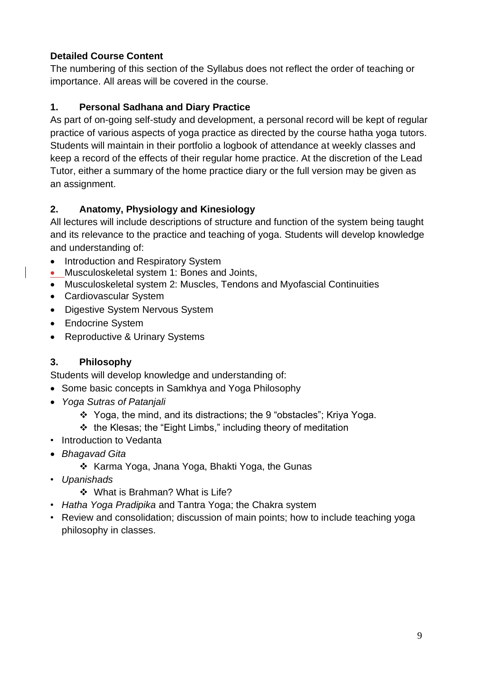# **Detailed Course Content**

The numbering of this section of the Syllabus does not reflect the order of teaching or importance. All areas will be covered in the course.

# **1. Personal Sadhana and Diary Practice**

As part of on-going self-study and development, a personal record will be kept of regular practice of various aspects of yoga practice as directed by the course hatha yoga tutors. Students will maintain in their portfolio a logbook of attendance at weekly classes and keep a record of the effects of their regular home practice. At the discretion of the Lead Tutor, either a summary of the home practice diary or the full version may be given as an assignment.

# **2. Anatomy, Physiology and Kinesiology**

All lectures will include descriptions of structure and function of the system being taught and its relevance to the practice and teaching of yoga. Students will develop knowledge and understanding of:

- Introduction and Respiratory System
- Musculoskeletal system 1: Bones and Joints,
- Musculoskeletal system 2: Muscles, Tendons and Myofascial Continuities
- Cardiovascular System
- Digestive System Nervous System
- Endocrine System
- Reproductive & Urinary Systems

# **3. Philosophy**

Students will develop knowledge and understanding of:

- Some basic concepts in Samkhya and Yoga Philosophy
- *Yoga Sutras of Patanjali*
	- ❖ Yoga, the mind, and its distractions; the 9 "obstacles"; Kriya Yoga.
	- ❖ the Klesas; the "Eight Limbs," including theory of meditation
- Introduction to Vedanta
- *Bhagavad Gita*
	- ❖ Karma Yoga, Jnana Yoga, Bhakti Yoga, the Gunas
- *Upanishads*
	- ❖ What is Brahman? What is Life?
- *Hatha Yoga Pradipika* and Tantra Yoga; the Chakra system
- Review and consolidation; discussion of main points; how to include teaching yoga philosophy in classes.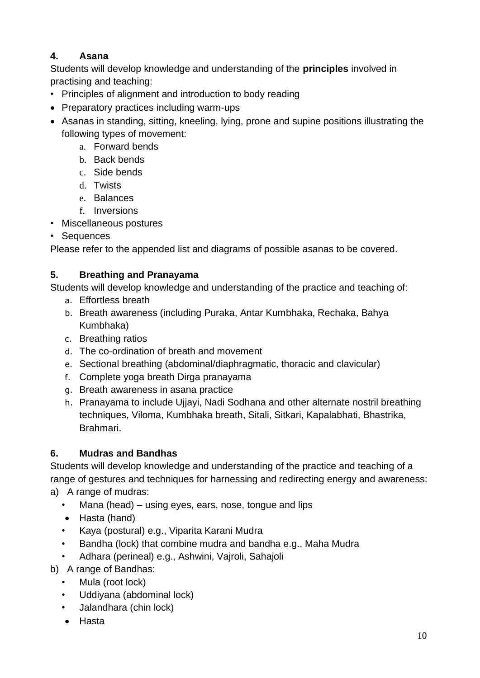# **4. Asana**

Students will develop knowledge and understanding of the **principles** involved in practising and teaching:

- Principles of alignment and introduction to body reading
- Preparatory practices including warm-ups
- Asanas in standing, sitting, kneeling, lying, prone and supine positions illustrating the following types of movement:
	- a. Forward bends
	- b. Back bends
	- c. Side bends
	- d. Twists
	- e. Balances
	- f. Inversions
- Miscellaneous postures
- Sequences

Please refer to the appended list and diagrams of possible asanas to be covered.

# **5. Breathing and Pranayama**

Students will develop knowledge and understanding of the practice and teaching of:

- a. Effortless breath
- b. Breath awareness (including Puraka, Antar Kumbhaka, Rechaka, Bahya Kumbhaka)
- c. Breathing ratios
- d. The co-ordination of breath and movement
- e. Sectional breathing (abdominal/diaphragmatic, thoracic and clavicular)
- f. Complete yoga breath Dirga pranayama
- g. Breath awareness in asana practice
- h. Pranayama to include Ujjayi, Nadi Sodhana and other alternate nostril breathing techniques, Viloma, Kumbhaka breath, Sitali, Sitkari, Kapalabhati, Bhastrika, Brahmari.

# **6. Mudras and Bandhas**

Students will develop knowledge and understanding of the practice and teaching of a range of gestures and techniques for harnessing and redirecting energy and awareness: a) A range of mudras:

- Mana (head) using eyes, ears, nose, tongue and lips
- Hasta (hand)
- Kaya (postural) e.g., Viparita Karani Mudra
- Bandha (lock) that combine mudra and bandha e.g., Maha Mudra
- Adhara (perineal) e.g., Ashwini, Vajroli, Sahajoli
- b) A range of Bandhas:
	- Mula (root lock)
	- Uddiyana (abdominal lock)
	- Jalandhara (chin lock)
	- Hasta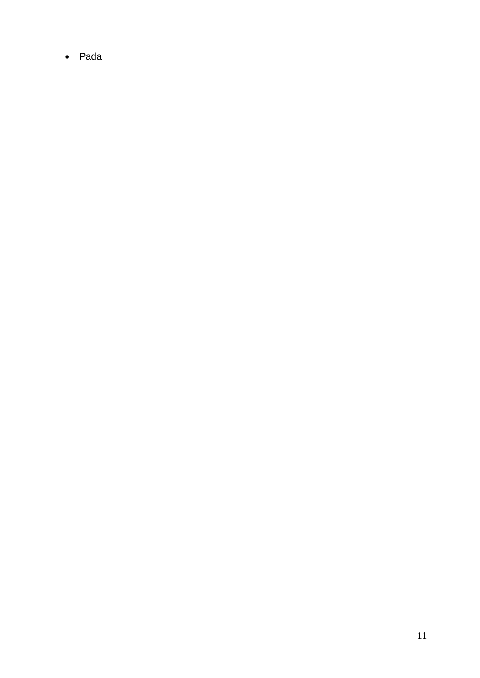• Pada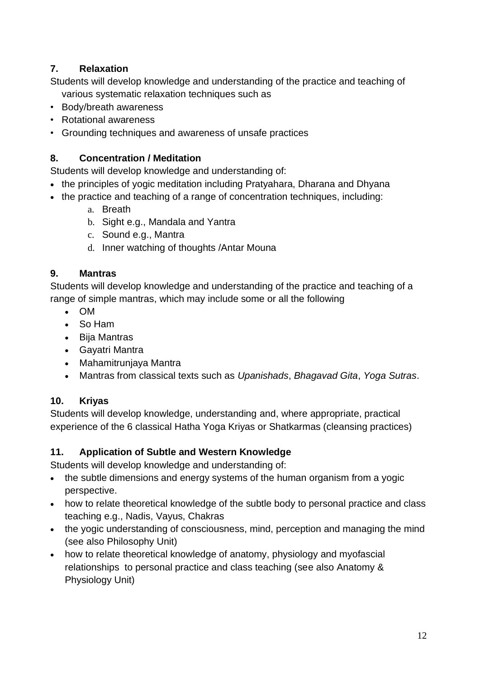# **7. Relaxation**

Students will develop knowledge and understanding of the practice and teaching of various systematic relaxation techniques such as

- Body/breath awareness
- Rotational awareness
- Grounding techniques and awareness of unsafe practices

## **8. Concentration / Meditation**

Students will develop knowledge and understanding of:

- the principles of yogic meditation including Pratyahara, Dharana and Dhyana
- the practice and teaching of a range of concentration techniques, including:
	- a. Breath
	- b. Sight e.g., Mandala and Yantra
	- c. Sound e.g., Mantra
	- d. Inner watching of thoughts /Antar Mouna

## **9. Mantras**

Students will develop knowledge and understanding of the practice and teaching of a range of simple mantras, which may include some or all the following

- OM
- So Ham
- Bija Mantras
- Gayatri Mantra
- Mahamitrunjaya Mantra
- Mantras from classical texts such as *Upanishads*, *Bhagavad Gita*, *Yoga Sutras*.

# **10. Kriyas**

Students will develop knowledge, understanding and, where appropriate, practical experience of the 6 classical Hatha Yoga Kriyas or Shatkarmas (cleansing practices)

# **11. Application of Subtle and Western Knowledge**

Students will develop knowledge and understanding of:

- the subtle dimensions and energy systems of the human organism from a yogic perspective.
- how to relate theoretical knowledge of the subtle body to personal practice and class teaching e.g., Nadis, Vayus, Chakras
- the yogic understanding of consciousness, mind, perception and managing the mind (see also Philosophy Unit)
- how to relate theoretical knowledge of anatomy, physiology and myofascial relationships to personal practice and class teaching (see also Anatomy & Physiology Unit)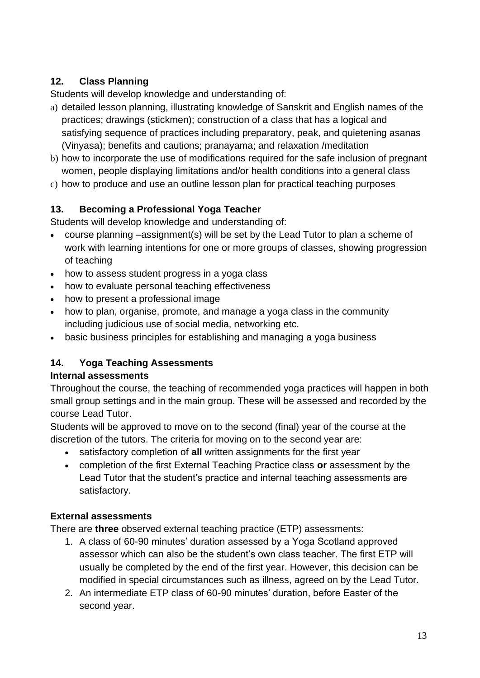# **12. Class Planning**

Students will develop knowledge and understanding of:

- a) detailed lesson planning, illustrating knowledge of Sanskrit and English names of the practices; drawings (stickmen); construction of a class that has a logical and satisfying sequence of practices including preparatory, peak, and quietening asanas (Vinyasa); benefits and cautions; pranayama; and relaxation /meditation
- b) how to incorporate the use of modifications required for the safe inclusion of pregnant women, people displaying limitations and/or health conditions into a general class
- c) how to produce and use an outline lesson plan for practical teaching purposes

# **13. Becoming a Professional Yoga Teacher**

Students will develop knowledge and understanding of:

- course planning –assignment(s) will be set by the Lead Tutor to plan a scheme of work with learning intentions for one or more groups of classes, showing progression of teaching
- how to assess student progress in a yoga class
- how to evaluate personal teaching effectiveness
- how to present a professional image
- how to plan, organise, promote, and manage a yoga class in the community including judicious use of social media, networking etc.
- basic business principles for establishing and managing a yoga business

# **14. Yoga Teaching Assessments**

# **Internal assessments**

Throughout the course, the teaching of recommended yoga practices will happen in both small group settings and in the main group. These will be assessed and recorded by the course Lead Tutor.

Students will be approved to move on to the second (final) year of the course at the discretion of the tutors. The criteria for moving on to the second year are:

- satisfactory completion of **all** written assignments for the first year
- completion of the first External Teaching Practice class **or** assessment by the Lead Tutor that the student's practice and internal teaching assessments are satisfactory.

# **External assessments**

There are **three** observed external teaching practice (ETP) assessments:

- 1. A class of 60-90 minutes' duration assessed by a Yoga Scotland approved assessor which can also be the student's own class teacher. The first ETP will usually be completed by the end of the first year. However, this decision can be modified in special circumstances such as illness, agreed on by the Lead Tutor.
- 2. An intermediate ETP class of 60-90 minutes' duration, before Easter of the second year.